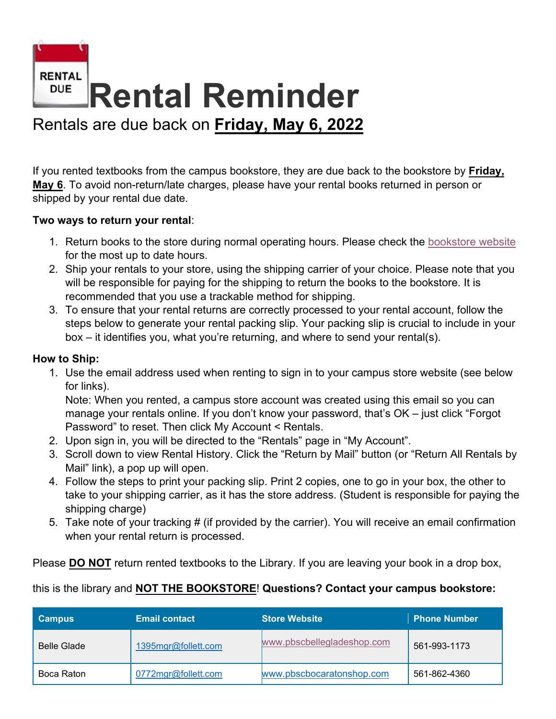

If you rented textbooks from the campus bookstore, they are due back to the bookstore by **Friday, May 6**. To avoid non-return/late charges, please have your rental books returned in person or shipped by your rental due date.

## **Two ways to return your rental**:

- 1. Return books to the store during normal operating hours. Please check the [bookstore website](https://www.palmbeachstate.edu/bookstore/) for the most up to date hours.
- 2. Ship your rentals to your store, using the shipping carrier of your choice. Please note that you will be responsible for paying for the shipping to return the books to the bookstore. It is recommended that you use a trackable method for shipping.
- 3. To ensure that your rental returns are correctly processed to your rental account, follow the steps below to generate your rental packing slip. Your packing slip is crucial to include in your box – it identifies you, what you're returning, and where to send your rental(s).

## **How to Ship:**

1. Use the email address used when renting to sign in to your campus store website (see below for links).

Note: When you rented, a campus store account was created using this email so you can manage your rentals online. If you don't know your password, that's OK – just click "Forgot Password" to reset. Then click My Account < Rentals.

- 2. Upon sign in, you will be directed to the "Rentals" page in "My Account".
- 3. Scroll down to view Rental History. Click the "Return by Mail" button (or "Return All Rentals by Mail" link), a pop up will open.
- 4. Follow the steps to print your packing slip. Print 2 copies, one to go in your box, the other to take to your shipping carrier, as it has the store address. (Student is responsible for paying the shipping charge)
- 5. Take note of your tracking # (if provided by the carrier). You will receive an email confirmation when your rental return is processed.

Please **DO NOT** return rented textbooks to the Library. If you are leaving your book in a drop box,

## this is the library and **NOT THE BOOKSTORE**! **Questions? Contact your campus bookstore:**

| <b>Campus</b>      | <b>Email contact</b> | <b>Store Website</b>       | <b>Phone Number</b> |
|--------------------|----------------------|----------------------------|---------------------|
| <b>Belle Glade</b> | 1395mgr@follett.com  | www.pbscbellegladeshop.com | 561-993-1173        |
| Boca Raton         | 0772mgr@follett.com  | www.pbscbocaratonshop.com  | 561-862-4360        |